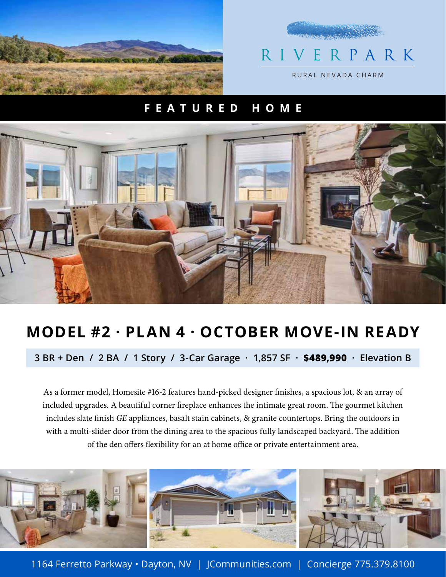



## **FEATURED HOME**



## **MODEL #2 · PLAN 4 · OCTOBER MOVE-IN READY**

**3 BR + Den / 2 BA / 1 Story / 3-Car Garage · 1,857 SF · \$489,990 · Elevation B**

As a former model, Homesite #16-2 features hand-picked designer finishes, a spacious lot, & an array of included upgrades. A beautiful corner fireplace enhances the intimate great room. The gourmet kitchen includes slate finish GE appliances, basalt stain cabinets, & granite countertops. Bring the outdoors in with a multi-slider door from the dining area to the spacious fully landscaped backyard. The addition of the den offers flexibility for an at home office or private entertainment area.



1164 Ferretto Parkway • Dayton, NV | JCommunities.com | Concierge 775.379.8100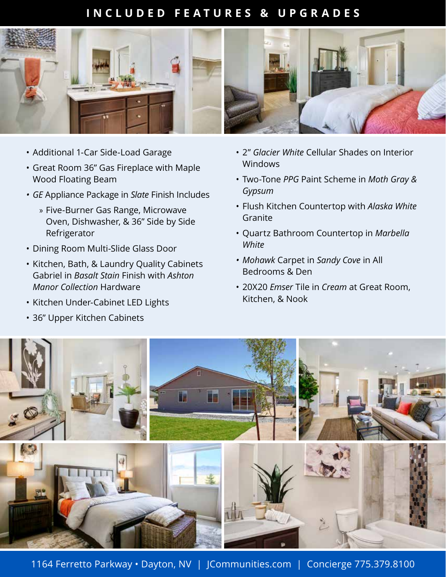## **INCLUDED FEATURES & UPGRADES**



- Additional 1-Car Side-Load Garage
- Great Room 36" Gas Fireplace with Maple Wood Floating Beam
- *GE* Appliance Package in *Slate* Finish Includes
	- » Five-Burner Gas Range, Microwave Oven, Dishwasher, & 36" Side by Side Refrigerator
- Dining Room Multi-Slide Glass Door
- Kitchen, Bath, & Laundry Quality Cabinets Gabriel in *Basalt Stain* Finish with *Ashton Manor Collection* Hardware
- Kitchen Under-Cabinet LED Lights
- 36" Upper Kitchen Cabinets
- 2" *Glacier White* Cellular Shades on Interior Windows
- Two-Tone *PPG* Paint Scheme in *Moth Gray & Gypsum*
- Flush Kitchen Countertop with *Alaska White* Granite
- Quartz Bathroom Countertop in *Marbella White*
- *Mohawk* Carpet in *Sandy Cove* in All Bedrooms & Den
- 20X20 *Emser* Tile in *Cream* at Great Room, Kitchen, & Nook